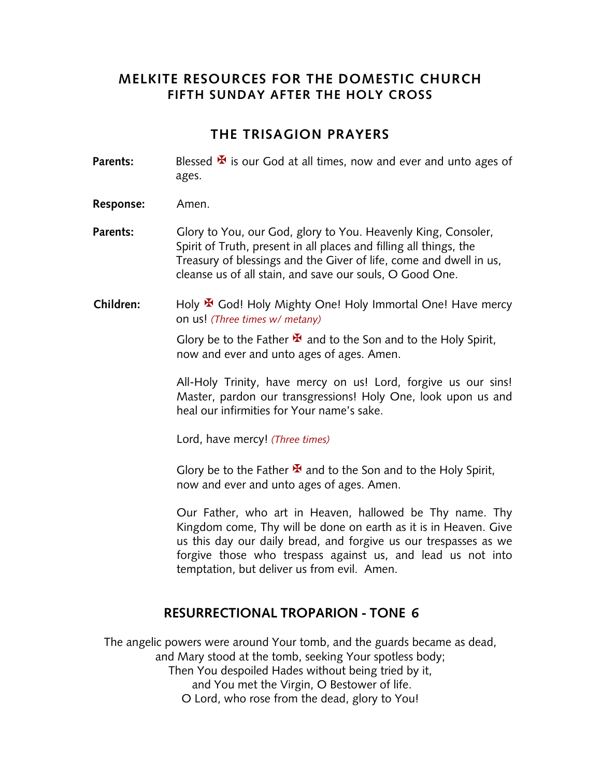# **MELKITE RESOURCES FOR THE DOMESTIC CHURCH FIFTH SUNDAY AFTER THE HOLY CROSS**

# **THE TRISAGION PRAYERS**

- **Parents:** Blessed  $\mathbf{\Sigma}$  is our God at all times, now and ever and unto ages of ages.
- **Response:** Amen.
- **Parents:** Glory to You, our God, glory to You. Heavenly King, Consoler, Spirit of Truth, present in all places and filling all things, the Treasury of blessings and the Giver of life, come and dwell in us, cleanse us of all stain, and save our souls, O Good One.
- Children: Holy <sup>★</sup> God! Holy Mighty One! Holy Immortal One! Have mercy on us! *(Three times w/ metany)*

Glory be to the Father  $\mathbf{\mathbf{\mathbf{\mathsf{F}}} }$  and to the Son and to the Holy Spirit, now and ever and unto ages of ages. Amen.

All-Holy Trinity, have mercy on us! Lord, forgive us our sins! Master, pardon our transgressions! Holy One, look upon us and heal our infirmities for Your name's sake.

Lord, have mercy! *(Three times)*

Glory be to the Father  $\mathbf{\mathbf{\mathbf{\mathsf{F}}} }$  and to the Son and to the Holy Spirit, now and ever and unto ages of ages. Amen.

Our Father, who art in Heaven, hallowed be Thy name. Thy Kingdom come, Thy will be done on earth as it is in Heaven. Give us this day our daily bread, and forgive us our trespasses as we forgive those who trespass against us, and lead us not into temptation, but deliver us from evil. Amen.

## **RESURRECTIONAL TROPARION - TONE 6**

The angelic powers were around Your tomb, and the guards became as dead, and Mary stood at the tomb, seeking Your spotless body; Then You despoiled Hades without being tried by it, and You met the Virgin, O Bestower of life. O Lord, who rose from the dead, glory to You!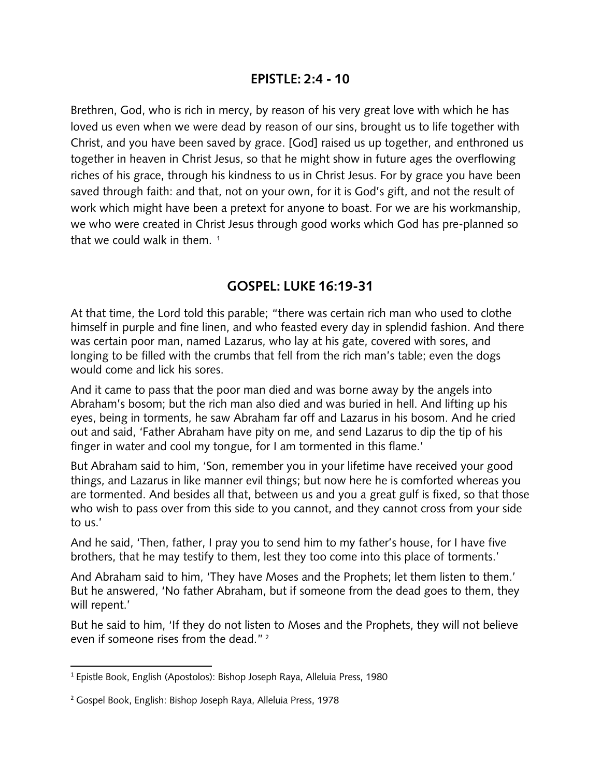## **EPISTLE: 2:4 - 10**

Brethren, God, who is rich in mercy, by reason of his very great love with which he has loved us even when we were dead by reason of our sins, brought us to life together with Christ, and you have been saved by grace. [God] raised us up together, and enthroned us together in heaven in Christ Jesus, so that he might show in future ages the overflowing riches of his grace, through his kindness to us in Christ Jesus. For by grace you have been saved through faith: and that, not on your own, for it is God's gift, and not the result of work which might have been a pretext for anyone to boast. For we are his workmanship, we who were created in Christ Jesus through good works which God has pre-planned so that we could walk in them.  $1$ 

## **GOSPEL: LUKE 16:19-31**

At that time, the Lord told this parable; "there was certain rich man who used to clothe himself in purple and fine linen, and who feasted every day in splendid fashion. And there was certain poor man, named Lazarus, who lay at his gate, covered with sores, and longing to be filled with the crumbs that fell from the rich man's table; even the dogs would come and lick his sores.

And it came to pass that the poor man died and was borne away by the angels into Abraham's bosom; but the rich man also died and was buried in hell. And lifting up his eyes, being in torments, he saw Abraham far off and Lazarus in his bosom. And he cried out and said, 'Father Abraham have pity on me, and send Lazarus to dip the tip of his finger in water and cool my tongue, for I am tormented in this flame.'

But Abraham said to him, 'Son, remember you in your lifetime have received your good things, and Lazarus in like manner evil things; but now here he is comforted whereas you are tormented. And besides all that, between us and you a great gulf is fixed, so that those who wish to pass over from this side to you cannot, and they cannot cross from your side to us.'

And he said, 'Then, father, I pray you to send him to my father's house, for I have five brothers, that he may testify to them, lest they too come into this place of torments.'

And Abraham said to him, 'They have Moses and the Prophets; let them listen to them.' But he answered, 'No father Abraham, but if someone from the dead goes to them, they will repent.'

But he said to him, 'If they do not listen to Moses and the Prophets, they will not believe even if someone rises from the dead." <sup>2</sup>

<sup>1</sup> Epistle Book, English (Apostolos): Bishop Joseph Raya, Alleluia Press, 1980

<sup>2</sup> Gospel Book, English: Bishop Joseph Raya, Alleluia Press, 1978